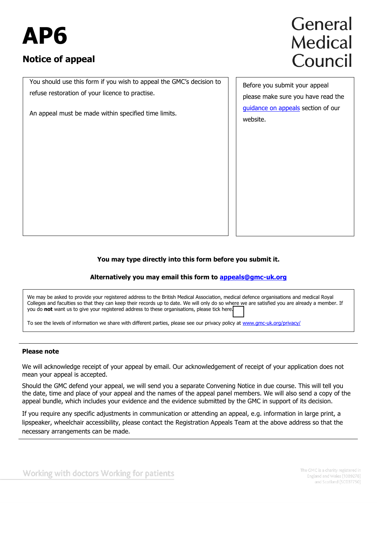# **AP6**

### **Notice of appeal**

#### You should use this form if you wish to appeal the GMC's decision to refuse restoration of your licence to practise.

An appeal must be made within specified time limits.

## General **Medical** Council

Before you submit your appeal please make sure you have read the [guidance on appeals](http://www.gmc-uk.org/doctors/appeals.asp) section of our website.

#### **You may type directly into this form before you submit it.**

#### **Alternatively you may email this form to appeals@gmc-uk.org**

We may be asked to provide your registered address to the British Medical Association, medical defence organisations and medical Royal Colleges and faculties so that they can keep their records up to date. We will only do so where we are satisfied you are already a member. If you do **not** want us to give your registered address to these organisations, please tick here.

To see the levels of information we share with different parties, please see our privacy policy at www.gmc-uk.org/privacy/

#### **Please note**

We will acknowledge receipt of your appeal by email. Our acknowledgement of receipt of your application does not mean your appeal is accepted.

Should the GMC defend your appeal, we will send you a separate Convening Notice in due course. This will tell you the date, time and place of your appeal and the names of the appeal panel members. We will also send a copy of the appeal bundle, which includes your evidence and the evidence submitted by the GMC in support of its decision.

If you require any specific adjustments in communication or attending an appeal, e.g. information in large print, a lipspeaker, wheelchair accessibility, please contact the Registration Appeals Team at the above address so that the necessary arrangements can be made.

Working with doctors Working for patients

The GMC is a charity registered in England and Wales (1089278) and Scotland (SC037750)